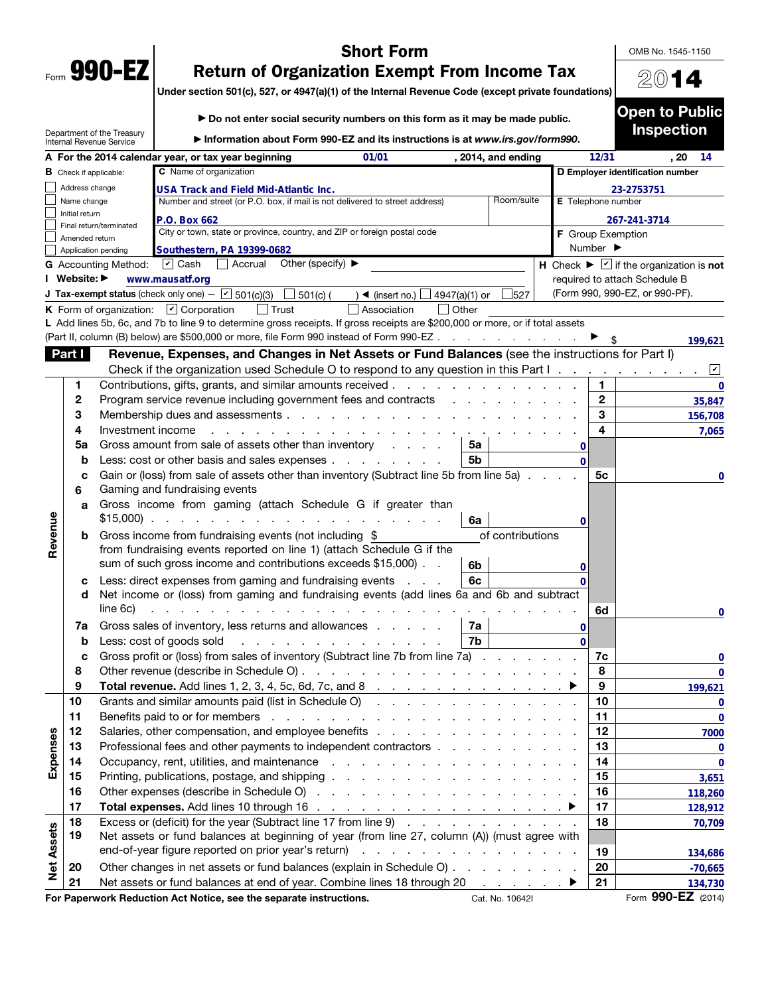|      | 990- |  |
|------|------|--|
| Form | M    |  |

## Short Form

OMB No. 1545-1150

2014

## Return of Organization Exempt From Income Tax

Under section 501(c), 527, or 4947(a)(1) of the Internal Revenue Code (except private foundations)

|                   |                               |                                                        | Do not enter social security numbers on this form as it may be made public.                                                                                                                                                    |                         |                            |                    |                    |                              | <b>Open to Public</b>                                            |             |
|-------------------|-------------------------------|--------------------------------------------------------|--------------------------------------------------------------------------------------------------------------------------------------------------------------------------------------------------------------------------------|-------------------------|----------------------------|--------------------|--------------------|------------------------------|------------------------------------------------------------------|-------------|
|                   |                               | Department of the Treasury<br>Internal Revenue Service | Information about Form 990-EZ and its instructions is at www.irs.gov/form990.                                                                                                                                                  |                         |                            |                    |                    |                              | <b>Inspection</b>                                                |             |
|                   |                               |                                                        | A For the 2014 calendar year, or tax year beginning                                                                                                                                                                            | 01/01                   |                            | , 2014, and ending |                    | 12/31                        | . 20                                                             | -14         |
|                   | <b>B</b> Check if applicable: |                                                        | C Name of organization                                                                                                                                                                                                         |                         |                            |                    |                    |                              | D Employer identification number                                 |             |
|                   | Address change                |                                                        | USA Track and Field Mid-Atlantic Inc.                                                                                                                                                                                          |                         |                            |                    |                    |                              | 23-2753751                                                       |             |
|                   | Name change<br>Initial return |                                                        | Number and street (or P.O. box, if mail is not delivered to street address)                                                                                                                                                    |                         |                            | Room/suite         | E Telephone number |                              |                                                                  |             |
|                   |                               | Final return/terminated                                | P.O. Box 662                                                                                                                                                                                                                   |                         |                            |                    |                    |                              | 267-241-3714                                                     |             |
|                   | Amended return                |                                                        | City or town, state or province, country, and ZIP or foreign postal code                                                                                                                                                       |                         |                            |                    | F Group Exemption  |                              |                                                                  |             |
|                   |                               | Application pending                                    | Southestern, PA 19399-0682                                                                                                                                                                                                     |                         |                            |                    |                    | Number $\blacktriangleright$ |                                                                  |             |
|                   |                               | <b>G</b> Accounting Method:                            | $\triangledown$ Cash<br>Other (specify) $\blacktriangleright$<br>$\Box$ Accrual                                                                                                                                                |                         |                            |                    |                    |                              | H Check $\blacktriangleright \square$ if the organization is not |             |
|                   | I Website: ▶                  |                                                        | www.mausatf.org                                                                                                                                                                                                                |                         |                            |                    |                    |                              | required to attach Schedule B                                    |             |
|                   |                               |                                                        | <b>J Tax-exempt status</b> (check only one) - $\boxed{\mathbf{v}}$ 501(c)(3)<br>$\Box$ 501(c) (                                                                                                                                | ) ◀ (insert no.) $\Box$ | 4947(a)(1) or              | 527                |                    |                              | (Form 990, 990-EZ, or 990-PF).                                   |             |
|                   |                               |                                                        | <b>K</b> Form of organization: $\boxed{\mathbf{v}}$ Corporation<br>$ $ Trust                                                                                                                                                   | Association             | $\vert$ Other              |                    |                    |                              |                                                                  |             |
|                   |                               |                                                        | L Add lines 5b, 6c, and 7b to line 9 to determine gross receipts. If gross receipts are \$200,000 or more, or if total assets<br>(Part II, column (B) below) are \$500,000 or more, file Form 990 instead of Form 990-EZ       |                         |                            |                    |                    |                              |                                                                  |             |
|                   | Part I                        |                                                        | Revenue, Expenses, and Changes in Net Assets or Fund Balances (see the instructions for Part I)                                                                                                                                |                         |                            |                    |                    |                              |                                                                  | 199,621     |
|                   |                               |                                                        | Check if the organization used Schedule O to respond to any question in this Part I                                                                                                                                            |                         |                            |                    |                    |                              |                                                                  | $\sqrt{2}$  |
|                   | 1                             |                                                        | Contributions, gifts, grants, and similar amounts received                                                                                                                                                                     |                         |                            |                    |                    | 1                            |                                                                  | $\mathbf 0$ |
|                   | 2                             |                                                        | Program service revenue including government fees and contracts                                                                                                                                                                |                         | and the state of the state |                    |                    | $\mathbf{2}$                 |                                                                  | 35,847      |
|                   | 3                             |                                                        | Membership dues and assessments                                                                                                                                                                                                |                         |                            |                    |                    | 3                            |                                                                  | 156,708     |
|                   | 4                             | Investment income                                      |                                                                                                                                                                                                                                |                         |                            |                    |                    | 4                            |                                                                  | 7,065       |
|                   | 5a                            |                                                        | Gross amount from sale of assets other than inventory                                                                                                                                                                          |                         | 5a                         |                    | 0                  |                              |                                                                  |             |
|                   | b                             |                                                        | Less: cost or other basis and sales expenses                                                                                                                                                                                   |                         | 5b                         |                    | $\Omega$           |                              |                                                                  |             |
|                   | c                             |                                                        | Gain or (loss) from sale of assets other than inventory (Subtract line 5b from line 5a)                                                                                                                                        |                         |                            |                    |                    | 5с                           |                                                                  | 0           |
|                   | 6                             |                                                        | Gaming and fundraising events                                                                                                                                                                                                  |                         |                            |                    |                    |                              |                                                                  |             |
|                   | a                             |                                                        | Gross income from gaming (attach Schedule G if greater than<br>$$15,000$                                                                                                                                                       |                         |                            |                    |                    |                              |                                                                  |             |
| Revenue           | b                             |                                                        | Gross income from fundraising events (not including \$                                                                                                                                                                         |                         | 6a                         | of contributions   | 0                  |                              |                                                                  |             |
|                   |                               |                                                        | from fundraising events reported on line 1) (attach Schedule G if the                                                                                                                                                          |                         |                            |                    |                    |                              |                                                                  |             |
|                   |                               |                                                        | sum of such gross income and contributions exceeds \$15,000).                                                                                                                                                                  |                         | 6b                         |                    |                    |                              |                                                                  |             |
|                   | с                             |                                                        | Less: direct expenses from gaming and fundraising events                                                                                                                                                                       |                         | 6c                         |                    |                    |                              |                                                                  |             |
|                   | d                             |                                                        | Net income or (loss) from gaming and fundraising events (add lines 6a and 6b and subtract                                                                                                                                      |                         |                            |                    |                    |                              |                                                                  |             |
|                   |                               | line 6c)                                               | <u>.</u>                                                                                                                                                                                                                       |                         |                            |                    |                    | 6d                           |                                                                  | 0           |
|                   | 7a                            |                                                        | Gross sales of inventory, less returns and allowances                                                                                                                                                                          |                         | 7a                         |                    | 0                  |                              |                                                                  |             |
|                   | b                             |                                                        | Less: cost of goods sold<br>.                                                                                                                                                                                                  |                         | 7b                         |                    | $\Omega$           |                              |                                                                  |             |
|                   |                               |                                                        | Gross profit or (loss) from sales of inventory (Subtract line 7b from line 7a)                                                                                                                                                 |                         |                            |                    |                    | 7c                           |                                                                  | 0           |
|                   | 8                             |                                                        |                                                                                                                                                                                                                                |                         |                            |                    |                    | 8                            |                                                                  | $\bf{0}$    |
|                   | 9                             |                                                        | Total revenue. Add lines 1, 2, 3, 4, 5c, 6d, 7c, and 8 $\ldots$ $\ldots$ $\ldots$ $\ldots$ $\ldots$                                                                                                                            |                         |                            |                    |                    | 9                            |                                                                  | 199,621     |
|                   | 10                            |                                                        | Grants and similar amounts paid (list in Schedule O)                                                                                                                                                                           |                         |                            |                    |                    | 10                           |                                                                  | 0           |
|                   | 11                            |                                                        | Benefits paid to or for members enters and the contract of the contract of the contract of the contract of the contract of the contract of the contract of the contract of the contract of the contract of the contract of the |                         |                            |                    |                    | 11                           |                                                                  | $\bf{0}$    |
|                   | 12                            |                                                        |                                                                                                                                                                                                                                |                         |                            |                    |                    | 12                           |                                                                  | 7000        |
| Expenses          | 13                            |                                                        | Professional fees and other payments to independent contractors                                                                                                                                                                |                         |                            |                    |                    | 13                           |                                                                  | 0           |
|                   | 14                            |                                                        |                                                                                                                                                                                                                                |                         |                            |                    |                    | 14                           |                                                                  | $\bf{0}$    |
|                   | 15                            |                                                        |                                                                                                                                                                                                                                |                         |                            |                    |                    | 15                           |                                                                  | 3,651       |
|                   | 16                            |                                                        |                                                                                                                                                                                                                                |                         |                            |                    |                    | 16                           |                                                                  | 118,260     |
|                   | 17                            |                                                        |                                                                                                                                                                                                                                |                         |                            |                    |                    | 17                           |                                                                  | 128,912     |
|                   | 18                            |                                                        | Excess or (deficit) for the year (Subtract line 17 from line 9)                                                                                                                                                                |                         |                            |                    |                    | 18                           |                                                                  | 70,709      |
|                   | 19                            |                                                        | Net assets or fund balances at beginning of year (from line 27, column (A)) (must agree with                                                                                                                                   |                         |                            |                    |                    |                              |                                                                  |             |
| <b>Net Assets</b> |                               |                                                        | end-of-year figure reported on prior year's return)                                                                                                                                                                            |                         |                            |                    |                    | 19                           |                                                                  | 134,686     |
|                   | 20                            |                                                        | Other changes in net assets or fund balances (explain in Schedule O)                                                                                                                                                           |                         |                            |                    |                    | 20                           |                                                                  | $-70,665$   |
|                   | 21                            |                                                        | Net assets or fund balances at end of year. Combine lines 18 through 20 ▶                                                                                                                                                      |                         |                            |                    |                    | 21                           |                                                                  | 134,730     |

For Paperwork Reduction Act Notice, see the separate instructions. Cat. No. 10642I Form 990-EZ (2014)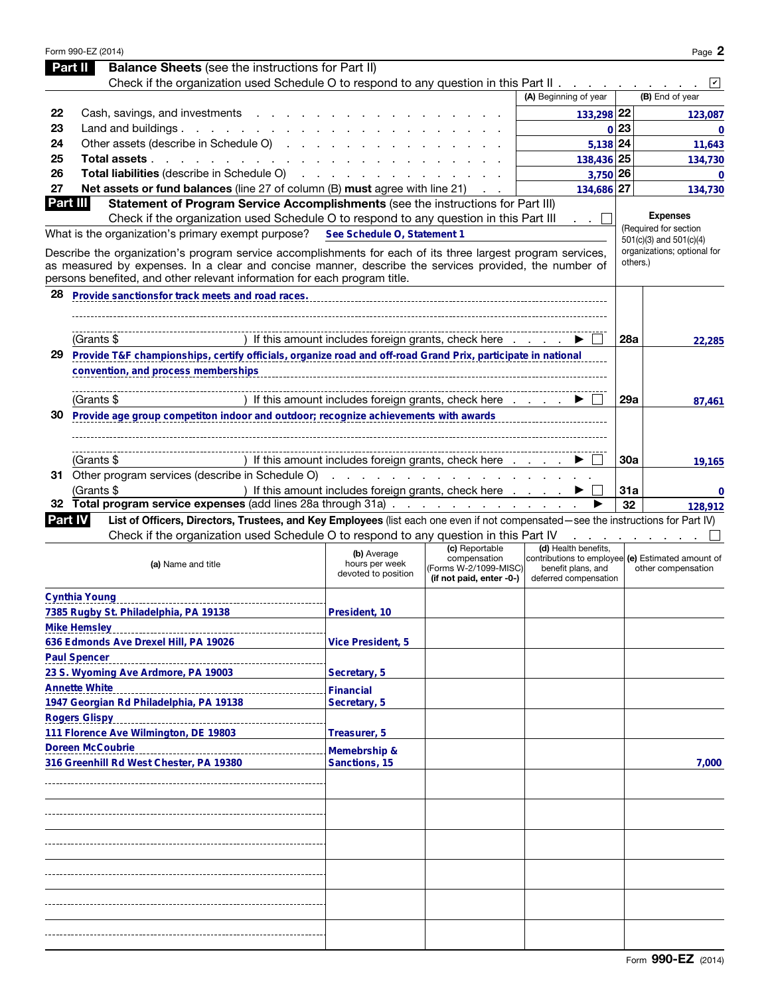|    | Form 990-EZ (2014)                                                                                                                                                                 |                                                      |                                                                   |                                                                                                  |            | Page 2                                                     |
|----|------------------------------------------------------------------------------------------------------------------------------------------------------------------------------------|------------------------------------------------------|-------------------------------------------------------------------|--------------------------------------------------------------------------------------------------|------------|------------------------------------------------------------|
|    | <b>Balance Sheets</b> (see the instructions for Part II)<br>Part II                                                                                                                |                                                      |                                                                   |                                                                                                  |            |                                                            |
|    | Check if the organization used Schedule O to respond to any question in this Part II                                                                                               |                                                      |                                                                   |                                                                                                  |            | $\vert\mathbf{v}\vert$                                     |
|    |                                                                                                                                                                                    |                                                      |                                                                   | (A) Beginning of year                                                                            |            | (B) End of year                                            |
| 22 | Cash, savings, and investments                                                                                                                                                     |                                                      |                                                                   | 133,298 22                                                                                       |            | 123,087                                                    |
| 23 | Land and buildings $\ldots$ $\ldots$ $\ldots$ $\ldots$                                                                                                                             |                                                      |                                                                   |                                                                                                  | $0$  23    | $\mathbf{0}$                                               |
| 24 | Other assets (describe in Schedule O)                                                                                                                                              |                                                      |                                                                   | 5,138 24                                                                                         |            | 11,643                                                     |
| 25 | Total assets                                                                                                                                                                       |                                                      |                                                                   | 138,436 25                                                                                       |            | 134,730                                                    |
| 26 | Total liabilities (describe in Schedule O)                                                                                                                                         |                                                      |                                                                   | $3,750$ 26                                                                                       |            | $\mathbf 0$                                                |
| 27 | Net assets or fund balances (line 27 of column (B) must agree with line 21)                                                                                                        |                                                      |                                                                   | 134,686 27                                                                                       |            | 134.730                                                    |
|    | Part III<br>Statement of Program Service Accomplishments (see the instructions for Part III)                                                                                       |                                                      |                                                                   |                                                                                                  |            |                                                            |
|    | Check if the organization used Schedule O to respond to any question in this Part III                                                                                              |                                                      |                                                                   | an an                                                                                            |            | <b>Expenses</b>                                            |
|    | What is the organization's primary exempt purpose?                                                                                                                                 | See Schedule O, Statement 1                          |                                                                   |                                                                                                  |            | (Required for section                                      |
|    | Describe the organization's program service accomplishments for each of its three largest program services,                                                                        |                                                      |                                                                   |                                                                                                  |            | $501(c)(3)$ and $501(c)(4)$<br>organizations; optional for |
|    | as measured by expenses. In a clear and concise manner, describe the services provided, the number of<br>persons benefited, and other relevant information for each program title. |                                                      |                                                                   |                                                                                                  |            | others.)                                                   |
| 28 | Provide sanctionsfor track meets and road races.                                                                                                                                   |                                                      |                                                                   |                                                                                                  |            |                                                            |
|    |                                                                                                                                                                                    |                                                      |                                                                   |                                                                                                  |            |                                                            |
|    | (Grants \$                                                                                                                                                                         |                                                      | ) If this amount includes foreign grants, check here              |                                                                                                  | 28a        | 22,285                                                     |
| 29 | Provide T&F championships, certify officials, organize road and off-road Grand Prix, participate in national                                                                       |                                                      |                                                                   |                                                                                                  |            |                                                            |
|    | convention, and process memberships                                                                                                                                                |                                                      |                                                                   |                                                                                                  |            |                                                            |
|    |                                                                                                                                                                                    |                                                      |                                                                   |                                                                                                  |            |                                                            |
|    | (Grants \$                                                                                                                                                                         |                                                      | ) If this amount includes foreign grants, check here              |                                                                                                  | 29a        | 87,461                                                     |
| 30 | Provide age group competiton indoor and outdoor; recognize achievements with awards                                                                                                |                                                      |                                                                   |                                                                                                  |            |                                                            |
|    |                                                                                                                                                                                    |                                                      |                                                                   |                                                                                                  |            |                                                            |
|    |                                                                                                                                                                                    |                                                      |                                                                   |                                                                                                  |            |                                                            |
|    | (Grants \$                                                                                                                                                                         |                                                      | ) If this amount includes foreign grants, check here              |                                                                                                  | <b>30a</b> | 19,165                                                     |
|    | 31 Other program services (describe in Schedule O)                                                                                                                                 | <u>.</u>                                             |                                                                   |                                                                                                  |            |                                                            |
|    | (Grants \$                                                                                                                                                                         |                                                      | ) If this amount includes foreign grants, check here              |                                                                                                  | 31a        | 0                                                          |
|    | 32 Total program service expenses (add lines 28a through 31a)                                                                                                                      |                                                      |                                                                   |                                                                                                  | 32         | 128,912                                                    |
|    | List of Officers, Directors, Trustees, and Key Employees (list each one even if not compensated—see the instructions for Part IV)<br><b>Part IV</b>                                |                                                      |                                                                   |                                                                                                  |            |                                                            |
|    | Check if the organization used Schedule O to respond to any question in this Part IV                                                                                               |                                                      | (c) Reportable                                                    | (d) Health benefits,                                                                             |            |                                                            |
|    | (a) Name and title                                                                                                                                                                 | (b) Average<br>hours per week<br>devoted to position | compensation<br>(Forms W-2/1099-MISC)<br>(if not paid, enter -0-) | contributions to employee (e) Estimated amount of<br>benefit plans, and<br>deferred compensation |            | other compensation                                         |
|    | Cynthia Young                                                                                                                                                                      |                                                      |                                                                   |                                                                                                  |            |                                                            |
|    | 7385 Rugby St. Philadelphia, PA 19138                                                                                                                                              | President, 10                                        |                                                                   |                                                                                                  |            |                                                            |
|    | <b>Mike Hemsley</b>                                                                                                                                                                |                                                      |                                                                   |                                                                                                  |            |                                                            |
|    | 636 Edmonds Ave Drexel Hill, PA 19026                                                                                                                                              | <b>Vice President, 5</b>                             |                                                                   |                                                                                                  |            |                                                            |
|    | <b>Paul Spencer</b>                                                                                                                                                                |                                                      |                                                                   |                                                                                                  |            |                                                            |
|    | 23 S. Wyoming Ave Ardmore, PA 19003                                                                                                                                                | Secretary, 5                                         |                                                                   |                                                                                                  |            |                                                            |
|    | <b>Annette White</b>                                                                                                                                                               | <b>Financial</b>                                     |                                                                   |                                                                                                  |            |                                                            |
|    | 1947 Georgian Rd Philadelphia, PA 19138                                                                                                                                            | Secretary, 5                                         |                                                                   |                                                                                                  |            |                                                            |
|    | <b>Rogers Glispy</b>                                                                                                                                                               |                                                      |                                                                   |                                                                                                  |            |                                                            |
|    | 111 Florence Ave Wilmington, DE 19803                                                                                                                                              | Treasurer, 5                                         |                                                                   |                                                                                                  |            |                                                            |
|    | <b>Doreen McCoubrie</b>                                                                                                                                                            | Memebrship &                                         |                                                                   |                                                                                                  |            |                                                            |
|    | 316 Greenhill Rd West Chester, PA 19380                                                                                                                                            | Sanctions, 15                                        |                                                                   |                                                                                                  |            | 7,000                                                      |
|    |                                                                                                                                                                                    |                                                      |                                                                   |                                                                                                  |            |                                                            |
|    |                                                                                                                                                                                    |                                                      |                                                                   |                                                                                                  |            |                                                            |
|    |                                                                                                                                                                                    |                                                      |                                                                   |                                                                                                  |            |                                                            |
|    |                                                                                                                                                                                    |                                                      |                                                                   |                                                                                                  |            |                                                            |
|    |                                                                                                                                                                                    |                                                      |                                                                   |                                                                                                  |            |                                                            |
|    |                                                                                                                                                                                    |                                                      |                                                                   |                                                                                                  |            |                                                            |
|    |                                                                                                                                                                                    |                                                      |                                                                   |                                                                                                  |            |                                                            |
|    |                                                                                                                                                                                    |                                                      |                                                                   |                                                                                                  |            |                                                            |
|    |                                                                                                                                                                                    |                                                      |                                                                   |                                                                                                  |            |                                                            |
|    |                                                                                                                                                                                    |                                                      |                                                                   |                                                                                                  |            |                                                            |
|    |                                                                                                                                                                                    |                                                      |                                                                   |                                                                                                  |            |                                                            |
|    |                                                                                                                                                                                    |                                                      |                                                                   |                                                                                                  |            |                                                            |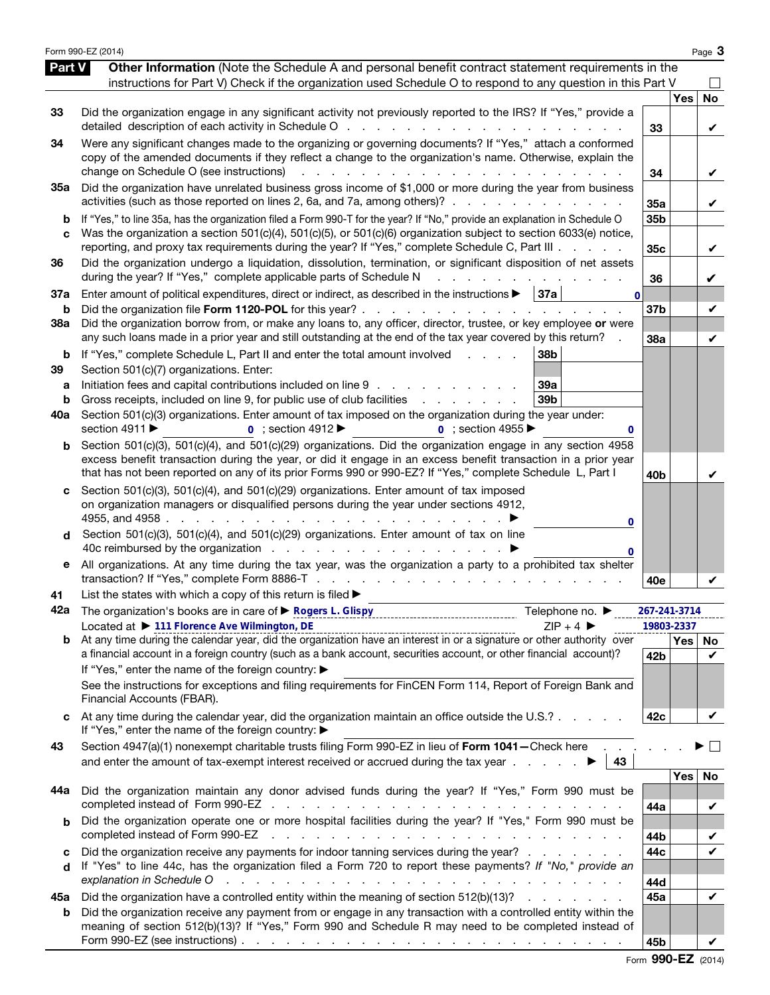|                          | Form 990-EZ (2014)                                                                                                                                                                                                                                                                                                                                                                                                                                                                                                              |                                    |            | Page 3         |
|--------------------------|---------------------------------------------------------------------------------------------------------------------------------------------------------------------------------------------------------------------------------------------------------------------------------------------------------------------------------------------------------------------------------------------------------------------------------------------------------------------------------------------------------------------------------|------------------------------------|------------|----------------|
| Part V                   | Other Information (Note the Schedule A and personal benefit contract statement requirements in the<br>instructions for Part V) Check if the organization used Schedule O to respond to any question in this Part V                                                                                                                                                                                                                                                                                                              |                                    |            |                |
| 33                       | Did the organization engage in any significant activity not previously reported to the IRS? If "Yes," provide a                                                                                                                                                                                                                                                                                                                                                                                                                 | 33                                 | <b>Yes</b> | <b>No</b><br>V |
| 34                       | Were any significant changes made to the organizing or governing documents? If "Yes," attach a conformed<br>copy of the amended documents if they reflect a change to the organization's name. Otherwise, explain the<br>change on Schedule O (see instructions)                                                                                                                                                                                                                                                                | 34                                 |            | V              |
| 35a                      | Did the organization have unrelated business gross income of \$1,000 or more during the year from business<br>activities (such as those reported on lines 2, 6a, and 7a, among others)?                                                                                                                                                                                                                                                                                                                                         | 35a                                |            | V              |
| b<br>C                   | If "Yes," to line 35a, has the organization filed a Form 990-T for the year? If "No," provide an explanation in Schedule O<br>Was the organization a section 501(c)(4), 501(c)(5), or 501(c)(6) organization subject to section 6033(e) notice,<br>reporting, and proxy tax requirements during the year? If "Yes," complete Schedule C, Part III                                                                                                                                                                               | 35 <sub>b</sub><br>35 <sub>c</sub> |            | V              |
| 36                       | Did the organization undergo a liquidation, dissolution, termination, or significant disposition of net assets<br>during the year? If "Yes," complete applicable parts of Schedule N                                                                                                                                                                                                                                                                                                                                            | 36                                 |            | V              |
| 37a<br>b                 | Enter amount of political expenditures, direct or indirect, as described in the instructions $\blacktriangleright$   37a<br>$\mathbf{0}$<br>Did the organization file Form 1120-POL for this year?                                                                                                                                                                                                                                                                                                                              | 37b                                |            | V              |
| 38a                      | Did the organization borrow from, or make any loans to, any officer, director, trustee, or key employee or were<br>any such loans made in a prior year and still outstanding at the end of the tax year covered by this return?                                                                                                                                                                                                                                                                                                 | 38a                                |            | V              |
| b<br>39<br>а<br>b<br>40a | If "Yes," complete Schedule L, Part II and enter the total amount involved<br>38 <sub>b</sub><br>Section 501(c)(7) organizations. Enter:<br>Initiation fees and capital contributions included on line 9<br>39a<br>Gross receipts, included on line 9, for public use of club facilities<br>39b<br>and a state of the state<br>Section 501(c)(3) organizations. Enter amount of tax imposed on the organization during the year under:<br>section 4911 ▶<br>$\overline{0}$ ; section 4912<br>$\overline{0}$ : section 4955<br>0 |                                    |            |                |
| b                        | Section 501(c)(3), 501(c)(4), and 501(c)(29) organizations. Did the organization engage in any section 4958<br>excess benefit transaction during the year, or did it engage in an excess benefit transaction in a prior year<br>that has not been reported on any of its prior Forms 990 or 990-EZ? If "Yes," complete Schedule L, Part I                                                                                                                                                                                       | 40b                                |            | v              |
| d                        | Section 501(c)(3), 501(c)(4), and 501(c)(29) organizations. Enter amount of tax imposed<br>on organization managers or disqualified persons during the year under sections 4912,<br>4955, and 4958<br>the contract of the contract of the contract of the contract of the contract of the contract of the contract of<br>0<br>Section 501(c)(3), 501(c)(4), and 501(c)(29) organizations. Enter amount of tax on line<br>0                                                                                                      |                                    |            |                |
| е                        | All organizations. At any time during the tax year, was the organization a party to a prohibited tax shelter<br>transaction? If "Yes," complete Form 8886-T                                                                                                                                                                                                                                                                                                                                                                     | 40e                                |            |                |
| 41                       | List the states with which a copy of this return is filed $\blacktriangleright$                                                                                                                                                                                                                                                                                                                                                                                                                                                 |                                    |            |                |
| 42a                      | The organization's books are in care of ▶ Rogers L. Glispy<br>material content content content content content of books are in care of P. Rogers L. Glispy<br>Telephone no. ▶<br>Located at ▶ 111 Florence Ave Wilmington, DE<br>$ZIP + 4$                                                                                                                                                                                                                                                                                      | 267-241-3714                       | 19803-2337 |                |
|                          |                                                                                                                                                                                                                                                                                                                                                                                                                                                                                                                                 |                                    | Yes   No   |                |
|                          | a financial account in a foreign country (such as a bank account, securities account, or other financial account)?<br>If "Yes," enter the name of the foreign country: ▶<br>See the instructions for exceptions and filing requirements for FinCEN Form 114, Report of Foreign Bank and<br>Financial Accounts (FBAR).                                                                                                                                                                                                           | 42b                                |            | V              |
|                          | At any time during the calendar year, did the organization maintain an office outside the U.S.?<br>If "Yes," enter the name of the foreign country: ▶                                                                                                                                                                                                                                                                                                                                                                           | 42c                                |            | V              |
| 43                       | Section 4947(a)(1) nonexempt charitable trusts filing Form 990-EZ in lieu of Form 1041-Check here<br>and enter the amount of tax-exempt interest received or accrued during the tax year $\ldots$ $\ldots$<br>43                                                                                                                                                                                                                                                                                                                |                                    |            | $\sim$         |
| 44a                      | Did the organization maintain any donor advised funds during the year? If "Yes," Form 990 must be                                                                                                                                                                                                                                                                                                                                                                                                                               |                                    | Yes        | No             |
| b                        | Did the organization operate one or more hospital facilities during the year? If "Yes," Form 990 must be<br>completed instead of Form 990-EZ                                                                                                                                                                                                                                                                                                                                                                                    | 44a                                |            | V              |
| c                        | Did the organization receive any payments for indoor tanning services during the year?                                                                                                                                                                                                                                                                                                                                                                                                                                          | 44b<br>44c                         |            | V<br>V         |
| d                        | If "Yes" to line 44c, has the organization filed a Form 720 to report these payments? If "No," provide an<br>explanation in Schedule O<br>والمتعاون والمتعاون والمتعاون والمتعاون والمتعاونة والمتعاونة والمتعاونة والمتعاونة والمتعاونة                                                                                                                                                                                                                                                                                        | 44d                                |            |                |
| 45а                      | Did the organization have a controlled entity within the meaning of section 512(b)(13)?                                                                                                                                                                                                                                                                                                                                                                                                                                         | 45a                                |            | V              |
| b                        | Did the organization receive any payment from or engage in any transaction with a controlled entity within the<br>meaning of section 512(b)(13)? If "Yes," Form 990 and Schedule R may need to be completed instead of<br>Form 990-EZ (see instructions) $\ldots$ $\ldots$ $\ldots$ $\ldots$ $\ldots$ $\ldots$ $\ldots$ $\ldots$ $\ldots$ $\ldots$ $\ldots$                                                                                                                                                                     | 45b                                |            |                |

Form 990-EZ (2014)